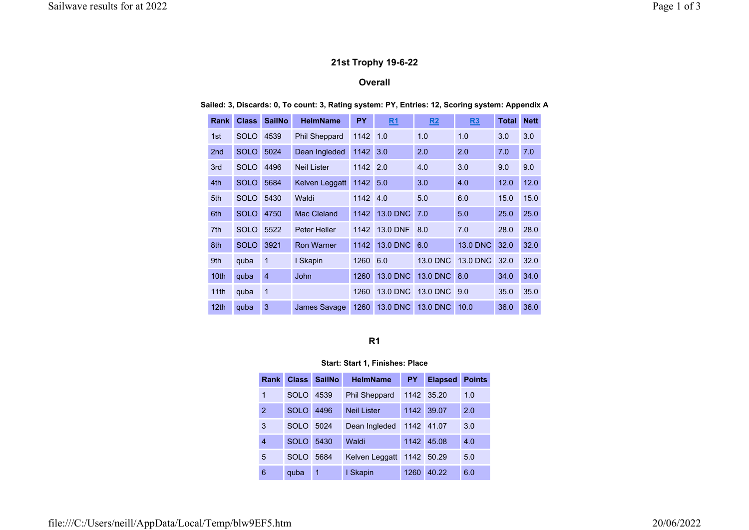## 21st Trophy 19-6-22

# **Overall**

Sailed: 3, Discards: 0, To count: 3, Rating system: PY, Entries: 12, Scoring system: Appendix A

| <b>Rank</b>      | <b>Class</b> | <b>SailNo</b>  | <b>HelmName</b>      | <b>PY</b> | R1              | R2                           | R3              | <b>Total</b> | <b>Nett</b> |
|------------------|--------------|----------------|----------------------|-----------|-----------------|------------------------------|-----------------|--------------|-------------|
| 1st              | <b>SOLO</b>  | 4539           | <b>Phil Sheppard</b> | 1142      | 1.0             | 1.0                          | 1.0             | 3.0          | 3.0         |
| 2 <sub>nd</sub>  | <b>SOLO</b>  | 5024           | Dean Ingleded        |           | 3.0             | 2.0                          | 2.0             | 7.0          | 7.0         |
| 3rd              | <b>SOLO</b>  | 4496           | <b>Neil Lister</b>   |           | 2.0             | 4.0                          | 3.0             | 9.0          | 9.0         |
| 4th              | <b>SOLO</b>  | 5684           | Kelven Leggatt       |           | 5.0             | 3.0                          | 4.0             | 12.0         | 12.0        |
| 5th              | <b>SOLO</b>  | 5430           | Waldi                |           | 4.0             | 5.0                          | 6.0             | 15.0         | 15.0        |
| 6th              | <b>SOLO</b>  | 4750           | Mac Cleland          | 1142      | <b>13.0 DNC</b> | 7.0                          | 5.0             | 25.0         | 25.0        |
| 7th              | <b>SOLO</b>  | 5522           | <b>Peter Heller</b>  | 1142      | <b>13.0 DNF</b> | 8.0                          | 7.0             | 28.0         | 28.0        |
| 8th              | <b>SOLO</b>  | 3921           | <b>Ron Warner</b>    | 1142      | 13.0 DNC        | 6.0                          | <b>13.0 DNC</b> | 32.0         | 32.0        |
| 9th              | quba         | 1              | I Skapin             | 1260      | 6.0             | <b>13.0 DNC</b>              | <b>13.0 DNC</b> | 32.0         | 32.0        |
| 10th             | quba         | $\overline{4}$ | <b>John</b>          | 1260      | <b>13.0 DNC</b> | <b>13.0 DNC</b>              | 8.0             | 34.0         | 34.0        |
| 11th             | quba         | $\mathbf{1}$   |                      | 1260      | <b>13.0 DNC</b> | <b>13.0 DNC</b>              | 9.0             | 35.0         | 35.0        |
| 12 <sub>th</sub> | quba         | 3              | James Savage         | 1260      | <b>13.0 DNC</b> | <b>13.0 DNC</b>              | 10.0            | 36.0         | 36.0        |
|                  |              |                |                      |           |                 | 1142<br>1142<br>1142<br>1142 |                 |              |             |

### R1

## Start: Start 1, Finishes: Place

| <b>Rank</b> | <b>Class</b> | <b>SailNo</b> | <b>HelmName</b>      | <b>PY</b> | <b>Elapsed</b> | <b>Points</b> |
|-------------|--------------|---------------|----------------------|-----------|----------------|---------------|
| 1           | <b>SOLO</b>  | 4539          | <b>Phil Sheppard</b> |           | 1142 35.20     | 1.0           |
| 2           | <b>SOLO</b>  | 4496          | <b>Neil Lister</b>   | 1142      | 39.07          | 2.0           |
| 3           | SOLO         | 5024          | Dean Ingleded        | 1142      | 41.07          | 3.0           |
| 4           | <b>SOLO</b>  | 5430          | Waldi                | 1142      | 45.08          | 4.0           |
| 5           | SOLO         | 5684          | Kelven Leggatt       | 1142      | 50.29          | 5.0           |
| 6           | quba         | 1             | I Skapin             | 1260      | 40.22          | 6.0           |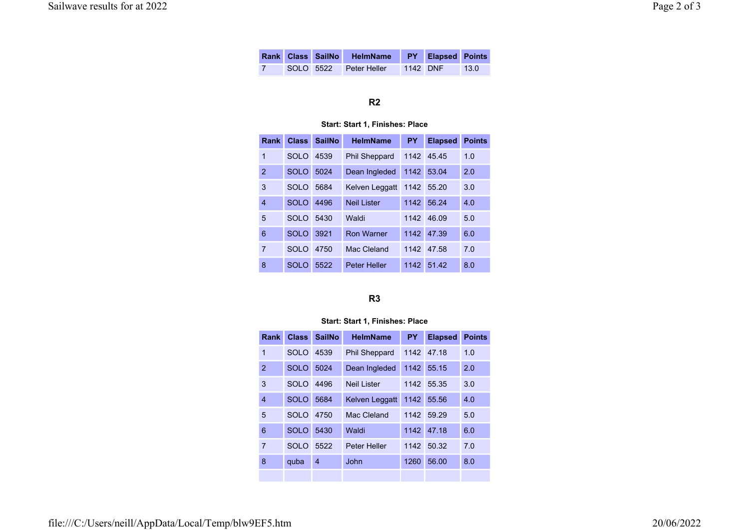|  | Rank Class SailNo HelmName PY Elapsed Points |          |      |
|--|----------------------------------------------|----------|------|
|  | SOLO 5522 Peter Heller                       | 1142 DNF | 13.0 |

## R2

### Start: Start 1, Finishes: Place

| Rank           | <b>Class</b> | <b>SailNo</b> | <b>HelmName</b>      | <b>PY</b> | <b>Elapsed</b> | <b>Points</b> |
|----------------|--------------|---------------|----------------------|-----------|----------------|---------------|
| 1              | SOLO         | 4539          | <b>Phil Sheppard</b> | 1142      | 45.45          | 1.0           |
| $\overline{2}$ | <b>SOLO</b>  | 5024          | Dean Ingleded        | 1142      | 53.04          | 2.0           |
| 3              | <b>SOLO</b>  | 5684          | Kelven Leggatt       | 1142      | 55.20          | 3.0           |
| 4              | <b>SOLO</b>  | 4496          | Neil I ister         | 1142      | 56.24          | 4.0           |
| 5              | SOLO         | 5430          | Waldi                | 1142      | 46.09          | 5.0           |
| 6              | <b>SOLO</b>  | 3921          | <b>Ron Warner</b>    | 1142      | 47.39          | 6.0           |
| $\overline{7}$ | SOLO         | 4750          | Mac Cleland          | 1142      | 47.58          | 7.0           |
| 8              | SOLO         | 5522          | <b>Peter Heller</b>  | 1142      | 51.42          | 8.0           |

## R3

### Start: Start 1, Finishes: Place

| Rank           | <b>Class</b> | <b>SailNo</b> | <b>HelmName</b>      | <b>PY</b> | <b>Elapsed</b> | <b>Points</b> |
|----------------|--------------|---------------|----------------------|-----------|----------------|---------------|
| 1              | <b>SOLO</b>  | 4539          | <b>Phil Sheppard</b> | 1142      | 47.18          | 1.0           |
| $\overline{2}$ | <b>SOLO</b>  | 5024          | Dean Ingleded        | 1142      | 55.15          | 2.0           |
| 3              | SOLO         | 4496          | <b>Neil Lister</b>   | 1142      | 55.35          | 3.0           |
| 4              | <b>SOLO</b>  | 5684          | Kelven Leggatt       | 1142      | 55.56          | 4.0           |
| 5              | <b>SOLO</b>  | 4750          | Mac Cleland          | 1142      | 59.29          | 5.0           |
| 6              | <b>SOLO</b>  | 5430          | Waldi                | 1142      | 47.18          | 6.0           |
| $\overline{7}$ | <b>SOLO</b>  | 5522          | Peter Heller         | 1142      | 50.32          | 7.0           |
| 8              | quba         | 4             | John                 | 1260      | 56.00          | 8.0           |
|                |              |               |                      |           |                |               |